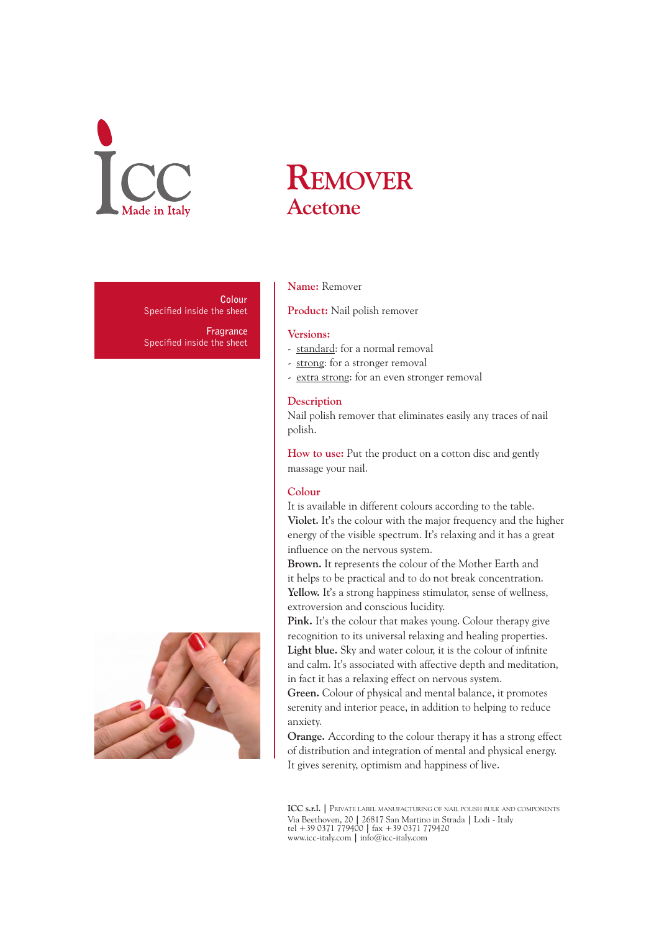

**Colour** Specified inside the sheet

**Fragrance** Specified inside the sheet



# **Remover Acetone**

### **Name:** Remover

**Product:** Nail polish remover

#### **Versions:**

- standard: for a normal removal
- strong: for a stronger removal
- extra strong: for an even stronger removal

### **Description**

Nail polish remover that eliminates easily any traces of nail polish.

**How to use:** Put the product on a cotton disc and gently massage your nail.

#### **Colour**

It is available in different colours according to the table. **Violet.** It's the colour with the major frequency and the higher energy of the visible spectrum. It's relaxing and it has a great influence on the nervous system.

**Brown.** It represents the colour of the Mother Earth and it helps to be practical and to do not break concentration. **Yellow.** It's a strong happiness stimulator, sense of wellness, extroversion and conscious lucidity.

Pink. It's the colour that makes young. Colour therapy give recognition to its universal relaxing and healing properties. **Light blue.** Sky and water colour, it is the colour of infinite and calm. It's associated with affective depth and meditation, in fact it has a relaxing effect on nervous system.

**Green.** Colour of physical and mental balance, it promotes serenity and interior peace, in addition to helping to reduce anxiety.

**Orange.** According to the colour therapy it has a strong effect of distribution and integration of mental and physical energy. It gives serenity, optimism and happiness of live.

**ICC s.r.l. |** Private label manufacturing of nail polish bulk and components Via Beethoven, 20 **|** 26817 San Martino in Strada **|** Lodi - Italy tel +39 0371 779400 **|** fax +39 0371 779420 www.icc-italy.com **|** info@icc-italy.com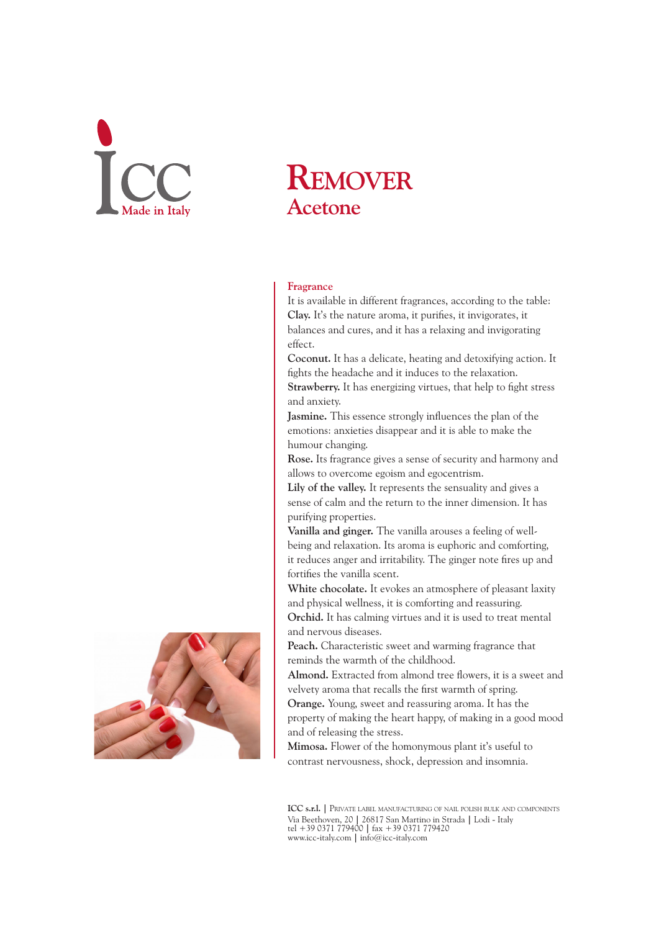# **Remover Acetone**

## **Fragrance**

It is available in different fragrances, according to the table: **Clay.** It's the nature aroma, it purifies, it invigorates, it balances and cures, and it has a relaxing and invigorating effect.

**Coconut.** It has a delicate, heating and detoxifying action. It fights the headache and it induces to the relaxation. **Strawberry.** It has energizing virtues, that help to fight stress

and anxiety.

**Jasmine.** This essence strongly influences the plan of the emotions: anxieties disappear and it is able to make the humour changing.

**Rose.** Its fragrance gives a sense of security and harmony and allows to overcome egoism and egocentrism.

**Lily of the valley.** It represents the sensuality and gives a sense of calm and the return to the inner dimension. It has purifying properties.

**Vanilla and ginger.** The vanilla arouses a feeling of wellbeing and relaxation. Its aroma is euphoric and comforting, it reduces anger and irritability. The ginger note fires up and fortifies the vanilla scent.

**White chocolate.** It evokes an atmosphere of pleasant laxity and physical wellness, it is comforting and reassuring.

**Orchid.** It has calming virtues and it is used to treat mental and nervous diseases.

**Peach.** Characteristic sweet and warming fragrance that reminds the warmth of the childhood.

**Almond.** Extracted from almond tree flowers, it is a sweet and velvety aroma that recalls the first warmth of spring.

**Orange.** Young, sweet and reassuring aroma. It has the property of making the heart happy, of making in a good mood and of releasing the stress.

**Mimosa.** Flower of the homonymous plant it's useful to contrast nervousness, shock, depression and insomnia.

**ICC s.r.l. |** Private label manufacturing of nail polish bulk and components Via Beethoven, 20 **|** 26817 San Martino in Strada **|** Lodi - Italy tel +39 0371 779400 **|** fax +39 0371 779420 www.icc-italy.com **|** info@icc-italy.com